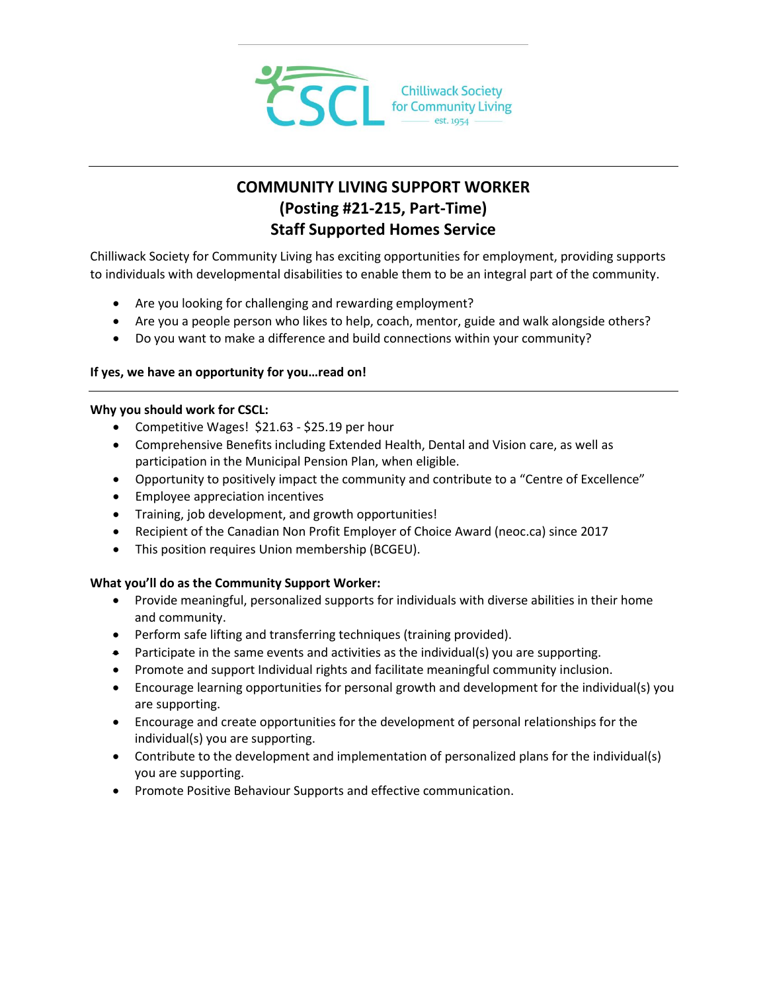

# **COMMUNITY LIVING SUPPORT WORKER (Posting #21-215, Part-Time) Staff Supported Homes Service**

Chilliwack Society for Community Living has exciting opportunities for employment, providing supports to individuals with developmental disabilities to enable them to be an integral part of the community.

- Are you looking for challenging and rewarding employment?
- Are you a people person who likes to help, coach, mentor, guide and walk alongside others?
- Do you want to make a difference and build connections within your community?

## **If yes, we have an opportunity for you…read on!**

### **Why you should work for CSCL:**

- Competitive Wages! \$21.63 \$25.19 per hour
- Comprehensive Benefits including Extended Health, Dental and Vision care, as well as participation in the Municipal Pension Plan, when eligible.
- Opportunity to positively impact the community and contribute to a "Centre of Excellence"
- Employee appreciation incentives
- Training, job development, and growth opportunities!
- Recipient of the Canadian Non Profit Employer of Choice Award (neoc.ca) since 2017
- This position requires Union membership (BCGEU).

## **What you'll do as the Community Support Worker:**

- Provide meaningful, personalized supports for individuals with diverse abilities in their home and community.
- Perform safe lifting and transferring techniques (training provided).
- $\bullet$  Participate in the same events and activities as the individual(s) you are supporting.
- Promote and support Individual rights and facilitate meaningful community inclusion.
- Encourage learning opportunities for personal growth and development for the individual(s) you are supporting.
- Encourage and create opportunities for the development of personal relationships for the individual(s) you are supporting.
- Contribute to the development and implementation of personalized plans for the individual(s) you are supporting.
- **•** Promote Positive Behaviour Supports and effective communication.